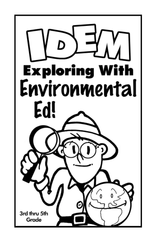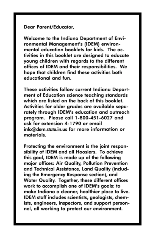## Dear Parent/Educator,

Welcome to the Indiana Department of Environmental Management's (IDEM) environmental education booklets for kids. The activities in this booklet are desianed to educate young children with regards to the different offices of IDEM and their responsibilities. We hope that children find these activities both educational and fun.

These activities follow current Indiana Department of Education science teaching standards which are listed on the back of this booklet. Activities for older grades are available separately through IDEM's education and outreach program. Please call 1-800-451-6027 and ask for extension 4-1790 or email info@dem.state.in.us for more information or materials.

Protecting the environment is the joint responsibility of IDEM and all Hoosiers. To achieve this goal, IDEM is made up of the following major offices: Air Quality, Pollution Prevention and Technical Assistance, Land Quality (including the Emergency Response section), and Water Quality. Together, these different offices work to accomplish one of IDEM's goals: to make Indiana a cleaner, healthier place to live. IDEM staff includes scientists, geologists, chemists, engineers, inspectors, and support personnel, all working to protect our environment.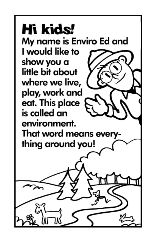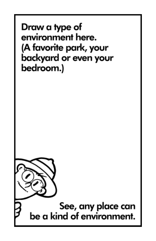Draw a type of environment here. (A favorite park, your backyard or even your bedroom.)

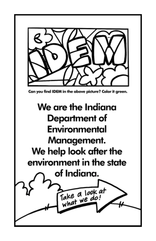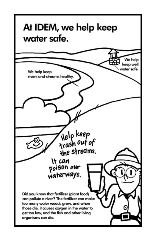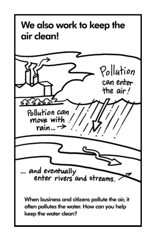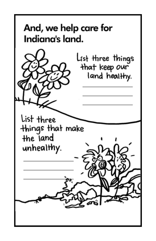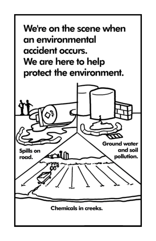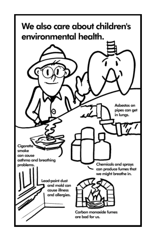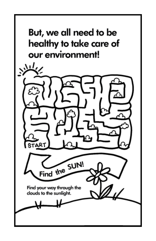

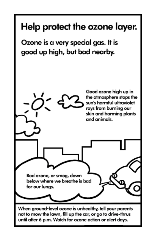# Help protect the ozone layer.

Ozone is a very special gas. It is good up high, but bad nearby.

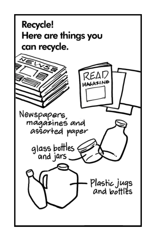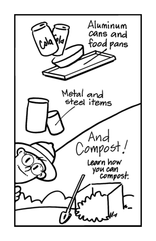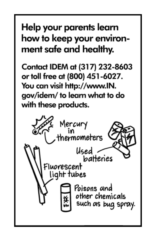## Help your parents learn how to keep your environment safe and healthy.

Contact IDEM at (317) 232-8603 or toll free at (800) 451-6027. You can visit http://www.IN. gov/idem/to learn what to do with these products.